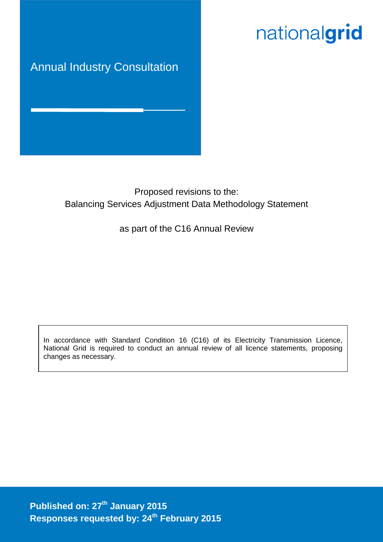# nationalgrid

# Annual Industry Consultation

# Proposed revisions to the: Balancing Services Adjustment Data Methodology Statement

# as part of the C16 Annual Review

In accordance with Standard Condition 16 (C16) of its Electricity Transmission Licence, National Grid is required to conduct an annual review of all licence statements, proposing changes as necessary.

**Published on: 27 th January 2015 Responses requested by: 24th February 2015**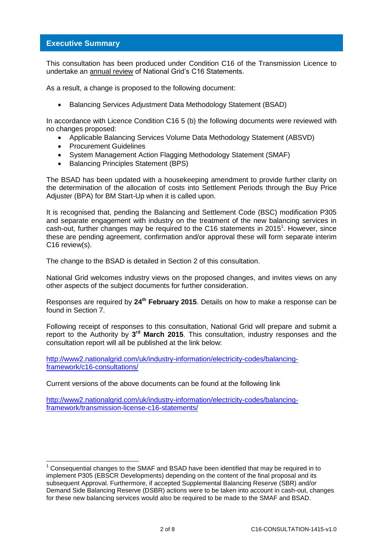### **Executive Summary**

This consultation has been produced under Condition C16 of the Transmission Licence to undertake an annual review of National Grid's C16 Statements.

As a result, a change is proposed to the following document:

Balancing Services Adjustment Data Methodology Statement (BSAD)

In accordance with Licence Condition C16 5 (b) the following documents were reviewed with no changes proposed:

- Applicable Balancing Services Volume Data Methodology Statement (ABSVD)
- **•** Procurement Guidelines

-

- System Management Action Flagging Methodology Statement (SMAF)
- Balancing Principles Statement (BPS)

The BSAD has been updated with a housekeeping amendment to provide further clarity on the determination of the allocation of costs into Settlement Periods through the Buy Price Adjuster (BPA) for BM Start-Up when it is called upon.

It is recognised that, pending the Balancing and Settlement Code (BSC) modification P305 and separate engagement with industry on the treatment of the new balancing services in cash-out, further changes may be required to the C16 statements in 2015<sup>1</sup>. However, since these are pending agreement, confirmation and/or approval these will form separate interim C16 review(s).

The change to the BSAD is detailed in Section 2 of this consultation.

National Grid welcomes industry views on the proposed changes, and invites views on any other aspects of the subject documents for further consideration.

Responses are required by **24 th February 2015**. Details on how to make a response can be found in Section 7.

Following receipt of responses to this consultation, National Grid will prepare and submit a report to the Authority by 3<sup>rd</sup> March 2015. This consultation, industry responses and the consultation report will all be published at the link below:

[http://www2.nationalgrid.com/uk/industry-information/electricity-codes/balancing](http://www2.nationalgrid.com/uk/industry-information/electricity-codes/balancing-framework/c16-consultations/)[framework/c16-consultations/](http://www2.nationalgrid.com/uk/industry-information/electricity-codes/balancing-framework/c16-consultations/)

Current versions of the above documents can be found at the following link

[http://www2.nationalgrid.com/uk/industry-information/electricity-codes/balancing](http://www2.nationalgrid.com/uk/industry-information/electricity-codes/balancing-framework/transmission-license-c16-statements/)[framework/transmission-license-c16-statements/](http://www2.nationalgrid.com/uk/industry-information/electricity-codes/balancing-framework/transmission-license-c16-statements/)

<sup>1</sup> Consequential changes to the SMAF and BSAD have been identified that may be required in to implement P305 (EBSCR Developments) depending on the content of the final proposal and its subsequent Approval. Furthermore, if accepted Supplemental Balancing Reserve (SBR) and/or Demand Side Balancing Reserve (DSBR) actions were to be taken into account in cash-out, changes for these new balancing services would also be required to be made to the SMAF and BSAD.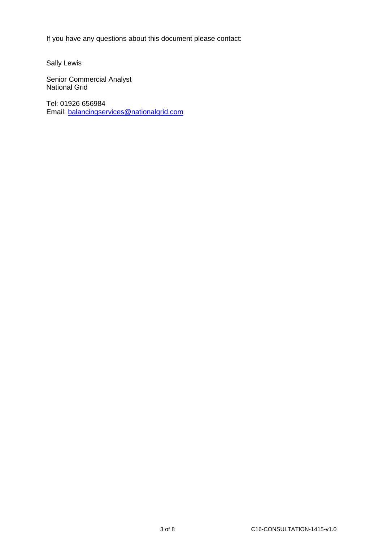If you have any questions about this document please contact:

Sally Lewis

Senior Commercial Analyst National Grid

Tel: 01926 656984 Email: [balancingservices@nationalgrid.com](mailto:balancingservices@nationalgrid.com)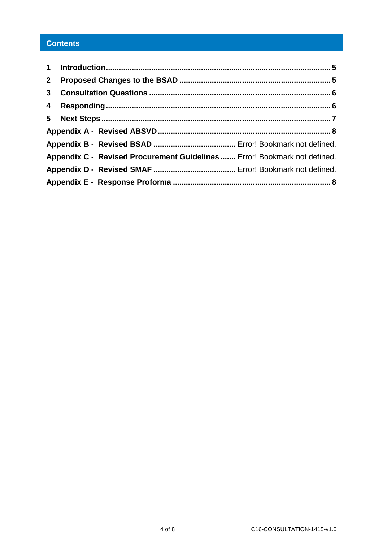# **Contents**

| 3 <sup>1</sup> |                                                                           |  |
|----------------|---------------------------------------------------------------------------|--|
|                |                                                                           |  |
|                |                                                                           |  |
|                |                                                                           |  |
|                |                                                                           |  |
|                | Appendix C - Revised Procurement Guidelines  Error! Bookmark not defined. |  |
|                |                                                                           |  |
|                |                                                                           |  |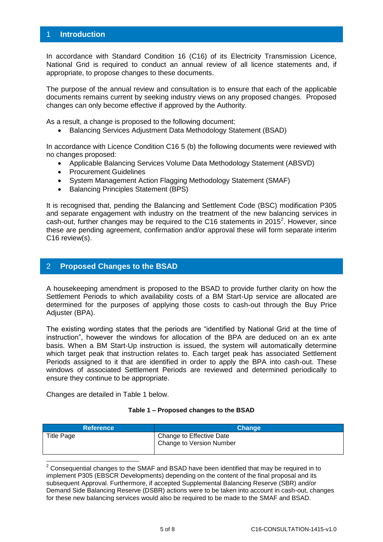### <span id="page-4-0"></span>1 **Introduction**

In accordance with Standard Condition 16 (C16) of its Electricity Transmission Licence, National Grid is required to conduct an annual review of all licence statements and, if appropriate, to propose changes to these documents.

The purpose of the annual review and consultation is to ensure that each of the applicable documents remains current by seeking industry views on any proposed changes. Proposed changes can only become effective if approved by the Authority.

As a result, a change is proposed to the following document:

• Balancing Services Adjustment Data Methodology Statement (BSAD)

In accordance with Licence Condition C16 5 (b) the following documents were reviewed with no changes proposed:

- Applicable Balancing Services Volume Data Methodology Statement (ABSVD)
- Procurement Guidelines
- System Management Action Flagging Methodology Statement (SMAF)
- Balancing Principles Statement (BPS)

It is recognised that, pending the Balancing and Settlement Code (BSC) modification P305 and separate engagement with industry on the treatment of the new balancing services in cash-out, further changes may be required to the C16 statements in 2015<sup>2</sup>. However, since these are pending agreement, confirmation and/or approval these will form separate interim C16 review(s).

### <span id="page-4-1"></span>2 **Proposed Changes to the BSAD**

A housekeeping amendment is proposed to the BSAD to provide further clarity on how the Settlement Periods to which availability costs of a BM Start-Up service are allocated are determined for the purposes of applying those costs to cash-out through the Buy Price Adjuster (BPA).

The existing wording states that the periods are "identified by National Grid at the time of instruction", however the windows for allocation of the BPA are deduced on an ex ante basis. When a BM Start-Up instruction is issued, the system will automatically determine which target peak that instruction relates to. Each target peak has associated Settlement Periods assigned to it that are identified in order to apply the BPA into cash-out. These windows of associated Settlement Periods are reviewed and determined periodically to ensure they continue to be appropriate.

Changes are detailed in Table 1 below.

-

#### **Table 1 – Proposed changes to the BSAD**

| <b>Reference</b> | <b>Change</b>                                        |
|------------------|------------------------------------------------------|
| Title Page       | Change to Effective Date<br>Change to Version Number |

 $2$  Consequential changes to the SMAF and BSAD have been identified that may be required in to implement P305 (EBSCR Developments) depending on the content of the final proposal and its subsequent Approval. Furthermore, if accepted Supplemental Balancing Reserve (SBR) and/or Demand Side Balancing Reserve (DSBR) actions were to be taken into account in cash-out, changes for these new balancing services would also be required to be made to the SMAF and BSAD.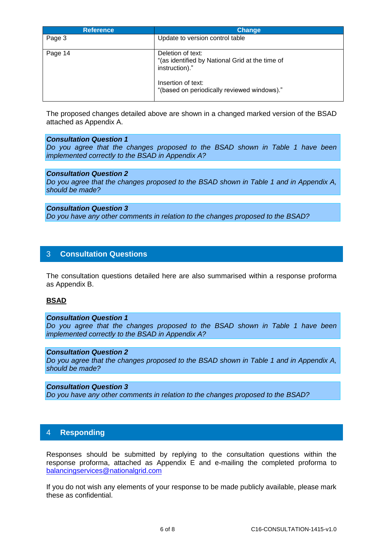| <b>Reference</b> | <b>Change</b>                                                                          |
|------------------|----------------------------------------------------------------------------------------|
| Page 3           | Update to version control table                                                        |
| Page 14          | Deletion of text:<br>"(as identified by National Grid at the time of<br>instruction)." |
|                  | Insertion of text:<br>"(based on periodically reviewed windows)."                      |

The proposed changes detailed above are shown in a changed marked version of the BSAD attached as Appendix A.

#### *Consultation Question 1*

*Do you agree that the changes proposed to the BSAD shown in Table 1 have been implemented correctly to the BSAD in Appendix A?*

#### *Consultation Question 2*

*Do you agree that the changes proposed to the BSAD shown in Table 1 and in Appendix A, should be made?*

#### *Consultation Question 3*

*Do you have any other comments in relation to the changes proposed to the BSAD?*

#### <span id="page-5-0"></span>3 **Consultation Questions**

The consultation questions detailed here are also summarised within a response proforma as Appendix B.

#### **BSAD**

#### *Consultation Question 1*

*Do you agree that the changes proposed to the BSAD shown in Table 1 have been implemented correctly to the BSAD in Appendix A?*

#### *Consultation Question 2*

*Do you agree that the changes proposed to the BSAD shown in Table 1 and in Appendix A, should be made?*

#### *Consultation Question 3*

*Do you have any other comments in relation to the changes proposed to the BSAD?*

#### <span id="page-5-1"></span>4 **Responding**

Responses should be submitted by replying to the consultation questions within the response proforma, attached as Appendix E and e-mailing the completed proforma to [balancingservices@nationalgrid.com](mailto:balancingservices@nationalgrid.com)

If you do not wish any elements of your response to be made publicly available, please mark these as confidential.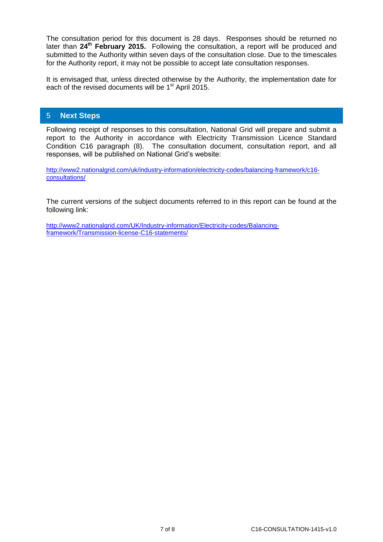The consultation period for this document is 28 days. Responses should be returned no later than **24th February 2015.** Following the consultation, a report will be produced and submitted to the Authority within seven days of the consultation close. Due to the timescales for the Authority report, it may not be possible to accept late consultation responses.

It is envisaged that, unless directed otherwise by the Authority, the implementation date for each of the revised documents will be 1<sup>st</sup> April 2015.

### <span id="page-6-0"></span>5 **Next Steps**

Following receipt of responses to this consultation, National Grid will prepare and submit a report to the Authority in accordance with Electricity Transmission Licence Standard Condition C16 paragraph (8). The consultation document, consultation report, and all responses, will be published on National Grid's website:

[http://www2.nationalgrid.com/uk/industry-information/electricity-codes/balancing-framework/c16](http://www2.nationalgrid.com/uk/industry-information/electricity-codes/balancing-framework/c16-consultations/) [consultations/](http://www2.nationalgrid.com/uk/industry-information/electricity-codes/balancing-framework/c16-consultations/)

The current versions of the subject documents referred to in this report can be found at the following link:

[http://www2.nationalgrid.com/UK/Industry-information/Electricity-codes/Balancing](http://www2.nationalgrid.com/UK/Industry-information/Electricity-codes/Balancing-framework/Transmission-license-C16-statements/)[framework/Transmission-license-C16-statements/](http://www2.nationalgrid.com/UK/Industry-information/Electricity-codes/Balancing-framework/Transmission-license-C16-statements/)